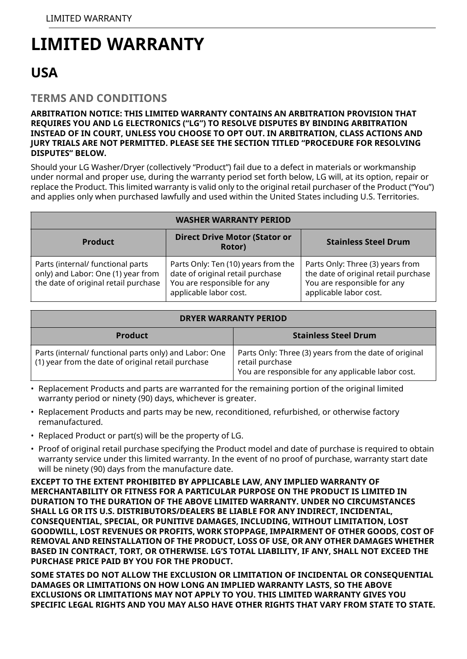# **LIMITED WARRANTY**

# **USA**

### **TERMS AND CONDITIONS**

#### **ARBITRATION NOTICE: THIS LIMITED WARRANTY CONTAINS AN ARBITRATION PROVISION THAT REQUIRES YOU AND LG ELECTRONICS ("LG") TO RESOLVE DISPUTES BY BINDING ARBITRATION INSTEAD OF IN COURT, UNLESS YOU CHOOSE TO OPT OUT. IN ARBITRATION, CLASS ACTIONS AND JURY TRIALS ARE NOT PERMITTED. PLEASE SEE THE SECTION TITLED "PROCEDURE FOR RESOLVING DISPUTES" BELOW.**

Should your LG Washer/Dryer (collectively "Product") fail due to a defect in materials or workmanship under normal and proper use, during the warranty period set forth below, LG will, at its option, repair or replace the Product. This limited warranty is valid only to the original retail purchaser of the Product ("You") and applies only when purchased lawfully and used within the United States including U.S. Territories.

| <b>WASHER WARRANTY PERIOD</b>                                                                                   |                                                                                                                                  |                                                                                                                                   |  |
|-----------------------------------------------------------------------------------------------------------------|----------------------------------------------------------------------------------------------------------------------------------|-----------------------------------------------------------------------------------------------------------------------------------|--|
| Product                                                                                                         | <b>Direct Drive Motor (Stator or</b><br>Rotor)                                                                                   | <b>Stainless Steel Drum</b>                                                                                                       |  |
| Parts (internal/ functional parts<br>only) and Labor: One (1) year from<br>the date of original retail purchase | Parts Only: Ten (10) years from the<br>date of original retail purchase<br>You are responsible for any<br>applicable labor cost. | Parts Only: Three (3) years from<br>the date of original retail purchase<br>You are responsible for any<br>applicable labor cost. |  |

|  | <b>DRYER WARRANTY PERIOD</b> |  |
|--|------------------------------|--|
|--|------------------------------|--|

| <b>Product</b>                                                                                                      | <b>Stainless Steel Drum</b>                                                                                                    |
|---------------------------------------------------------------------------------------------------------------------|--------------------------------------------------------------------------------------------------------------------------------|
| Parts (internal/ functional parts only) and Labor: One<br>$\mid$ (1) year from the date of original retail purchase | Parts Only: Three (3) years from the date of original<br>retail purchase<br>You are responsible for any applicable labor cost. |

• Replacement Products and parts are warranted for the remaining portion of the original limited warranty period or ninety (90) days, whichever is greater.

- Replacement Products and parts may be new, reconditioned, refurbished, or otherwise factory remanufactured.
- Replaced Product or part(s) will be the property of LG.
- Proof of original retail purchase specifying the Product model and date of purchase is required to obtain warranty service under this limited warranty. In the event of no proof of purchase, warranty start date will be ninety (90) days from the manufacture date.

**EXCEPT TO THE EXTENT PROHIBITED BY APPLICABLE LAW, ANY IMPLIED WARRANTY OF MERCHANTABILITY OR FITNESS FOR A PARTICULAR PURPOSE ON THE PRODUCT IS LIMITED IN DURATION TO THE DURATION OF THE ABOVE LIMITED WARRANTY. UNDER NO CIRCUMSTANCES SHALL LG OR ITS U.S. DISTRIBUTORS/DEALERS BE LIABLE FOR ANY INDIRECT, INCIDENTAL, CONSEQUENTIAL, SPECIAL, OR PUNITIVE DAMAGES, INCLUDING, WITHOUT LIMITATION, LOST GOODWILL, LOST REVENUES OR PROFITS, WORK STOPPAGE, IMPAIRMENT OF OTHER GOODS, COST OF REMOVAL AND REINSTALLATION OF THE PRODUCT, LOSS OF USE, OR ANY OTHER DAMAGES WHETHER BASED IN CONTRACT, TORT, OR OTHERWISE. LG'S TOTAL LIABILITY, IF ANY, SHALL NOT EXCEED THE PURCHASE PRICE PAID BY YOU FOR THE PRODUCT.**

**SOME STATES DO NOT ALLOW THE EXCLUSION OR LIMITATION OF INCIDENTAL OR CONSEQUENTIAL DAMAGES OR LIMITATIONS ON HOW LONG AN IMPLIED WARRANTY LASTS, SO THE ABOVE EXCLUSIONS OR LIMITATIONS MAY NOT APPLY TO YOU. THIS LIMITED WARRANTY GIVES YOU SPECIFIC LEGAL RIGHTS AND YOU MAY ALSO HAVE OTHER RIGHTS THAT VARY FROM STATE TO STATE.**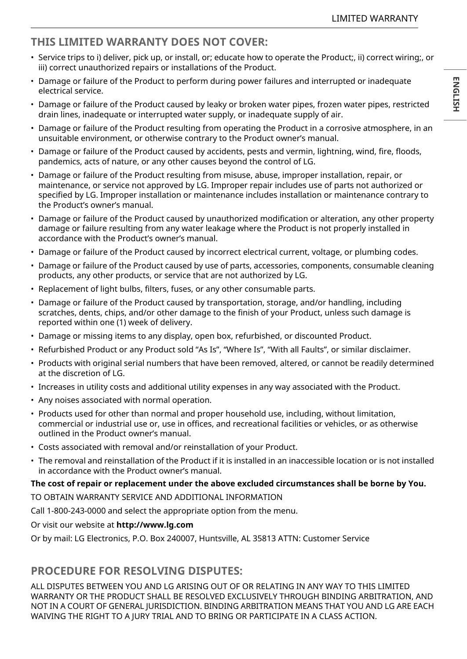# **THIS LIMITED WARRANTY DOES NOT COVER:**

- Service trips to i) deliver, pick up, or install, or; educate how to operate the Product;, ii) correct wiring;, or iii) correct unauthorized repairs or installations of the Product.
- Damage or failure of the Product to perform during power failures and interrupted or inadequate electrical service.
- Damage or failure of the Product caused by leaky or broken water pipes, frozen water pipes, restricted drain lines, inadequate or interrupted water supply, or inadequate supply of air.
- Damage or failure of the Product resulting from operating the Product in a corrosive atmosphere, in an unsuitable environment, or otherwise contrary to the Product owner's manual.
- Damage or failure of the Product caused by accidents, pests and vermin, lightning, wind, fire, floods, pandemics, acts of nature, or any other causes beyond the control of LG.
- Damage or failure of the Product resulting from misuse, abuse, improper installation, repair, or maintenance, or service not approved by LG. Improper repair includes use of parts not authorized or specified by LG. Improper installation or maintenance includes installation or maintenance contrary to the Product's owner's manual.
- Damage or failure of the Product caused by unauthorized modification or alteration, any other property damage or failure resulting from any water leakage where the Product is not properly installed in accordance with the Product's owner's manual.
- Damage or failure of the Product caused by incorrect electrical current, voltage, or plumbing codes.
- Damage or failure of the Product caused by use of parts, accessories, components, consumable cleaning products, any other products, or service that are not authorized by LG.
- Replacement of light bulbs, filters, fuses, or any other consumable parts.
- Damage or failure of the Product caused by transportation, storage, and/or handling, including scratches, dents, chips, and/or other damage to the finish of your Product, unless such damage is reported within one (1) week of delivery.
- Damage or missing items to any display, open box, refurbished, or discounted Product.
- Refurbished Product or any Product sold "As Is", "Where Is", "With all Faults", or similar disclaimer.
- Products with original serial numbers that have been removed, altered, or cannot be readily determined at the discretion of LG.
- Increases in utility costs and additional utility expenses in any way associated with the Product.
- Any noises associated with normal operation.
- Products used for other than normal and proper household use, including, without limitation, commercial or industrial use or, use in offices, and recreational facilities or vehicles, or as otherwise outlined in the Product owner's manual.
- Costs associated with removal and/or reinstallation of your Product.
- The removal and reinstallation of the Product if it is installed in an inaccessible location or is not installed in accordance with the Product owner's manual.

#### **The cost of repair or replacement under the above excluded circumstances shall be borne by You.**

TO OBTAIN WARRANTY SERVICE AND ADDITIONAL INFORMATION

Call 1-800-243-0000 and select the appropriate option from the menu.

Or visit our website at **http://www.lg.com**

Or by mail: LG Electronics, P.O. Box 240007, Huntsville, AL 35813 ATTN: Customer Service

## **PROCEDURE FOR RESOLVING DISPUTES:**

ALL DISPUTES BETWEEN YOU AND LG ARISING OUT OF OR RELATING IN ANY WAY TO THIS LIMITED WARRANTY OR THE PRODUCT SHALL BE RESOLVED EXCLUSIVELY THROUGH BINDING ARBITRATION, AND NOT IN A COURT OF GENERAL JURISDICTION. BINDING ARBITRATION MEANS THAT YOU AND LG ARE EACH WAIVING THE RIGHT TO A JURY TRIAL AND TO BRING OR PARTICIPATE IN A CLASS ACTION.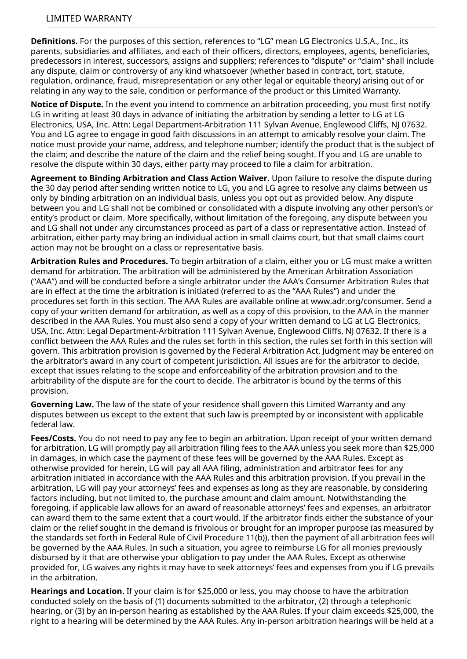**Definitions.** For the purposes of this section, references to "LG" mean LG Electronics U.S.A., Inc., its parents, subsidiaries and affiliates, and each of their officers, directors, employees, agents, beneficiaries, predecessors in interest, successors, assigns and suppliers; references to "dispute" or "claim" shall include any dispute, claim or controversy of any kind whatsoever (whether based in contract, tort, statute, regulation, ordinance, fraud, misrepresentation or any other legal or equitable theory) arising out of or relating in any way to the sale, condition or performance of the product or this Limited Warranty.

**Notice of Dispute.** In the event you intend to commence an arbitration proceeding, you must first notify LG in writing at least 30 days in advance of initiating the arbitration by sending a letter to LG at LG Electronics, USA, Inc. Attn: Legal Department-Arbitration 111 Sylvan Avenue, Englewood Cliffs, NJ 07632. You and LG agree to engage in good faith discussions in an attempt to amicably resolve your claim. The notice must provide your name, address, and telephone number; identify the product that is the subject of the claim; and describe the nature of the claim and the relief being sought. If you and LG are unable to resolve the dispute within 30 days, either party may proceed to file a claim for arbitration.

**Agreement to Binding Arbitration and Class Action Waiver.** Upon failure to resolve the dispute during the 30 day period after sending written notice to LG, you and LG agree to resolve any claims between us only by binding arbitration on an individual basis, unless you opt out as provided below. Any dispute between you and LG shall not be combined or consolidated with a dispute involving any other person's or entity's product or claim. More specifically, without limitation of the foregoing, any dispute between you and LG shall not under any circumstances proceed as part of a class or representative action. Instead of arbitration, either party may bring an individual action in small claims court, but that small claims court action may not be brought on a class or representative basis.

**Arbitration Rules and Procedures.** To begin arbitration of a claim, either you or LG must make a written demand for arbitration. The arbitration will be administered by the American Arbitration Association ("AAA") and will be conducted before a single arbitrator under the AAA's Consumer Arbitration Rules that are in effect at the time the arbitration is initiated (referred to as the "AAA Rules") and under the procedures set forth in this section. The AAA Rules are available online at www.adr.org/consumer. Send a copy of your written demand for arbitration, as well as a copy of this provision, to the AAA in the manner described in the AAA Rules. You must also send a copy of your written demand to LG at LG Electronics, USA, Inc. Attn: Legal Department-Arbitration 111 Sylvan Avenue, Englewood Cliffs, NJ 07632. If there is a conflict between the AAA Rules and the rules set forth in this section, the rules set forth in this section will govern. This arbitration provision is governed by the Federal Arbitration Act. Judgment may be entered on the arbitrator's award in any court of competent jurisdiction. All issues are for the arbitrator to decide, except that issues relating to the scope and enforceability of the arbitration provision and to the arbitrability of the dispute are for the court to decide. The arbitrator is bound by the terms of this provision.

**Governing Law.** The law of the state of your residence shall govern this Limited Warranty and any disputes between us except to the extent that such law is preempted by or inconsistent with applicable federal law.

**Fees/Costs.** You do not need to pay any fee to begin an arbitration. Upon receipt of your written demand for arbitration, LG will promptly pay all arbitration filing fees to the AAA unless you seek more than \$25,000 in damages, in which case the payment of these fees will be governed by the AAA Rules. Except as otherwise provided for herein, LG will pay all AAA filing, administration and arbitrator fees for any arbitration initiated in accordance with the AAA Rules and this arbitration provision. If you prevail in the arbitration, LG will pay your attorneys' fees and expenses as long as they are reasonable, by considering factors including, but not limited to, the purchase amount and claim amount. Notwithstanding the foregoing, if applicable law allows for an award of reasonable attorneys' fees and expenses, an arbitrator can award them to the same extent that a court would. If the arbitrator finds either the substance of your claim or the relief sought in the demand is frivolous or brought for an improper purpose (as measured by the standards set forth in Federal Rule of Civil Procedure 11(b)), then the payment of all arbitration fees will be governed by the AAA Rules. In such a situation, you agree to reimburse LG for all monies previously disbursed by it that are otherwise your obligation to pay under the AAA Rules. Except as otherwise provided for, LG waives any rights it may have to seek attorneys' fees and expenses from you if LG prevails in the arbitration.

**Hearings and Location.** If your claim is for \$25,000 or less, you may choose to have the arbitration conducted solely on the basis of (1) documents submitted to the arbitrator, (2) through a telephonic hearing, or (3) by an in-person hearing as established by the AAA Rules. If your claim exceeds \$25,000, the right to a hearing will be determined by the AAA Rules. Any in-person arbitration hearings will be held at a